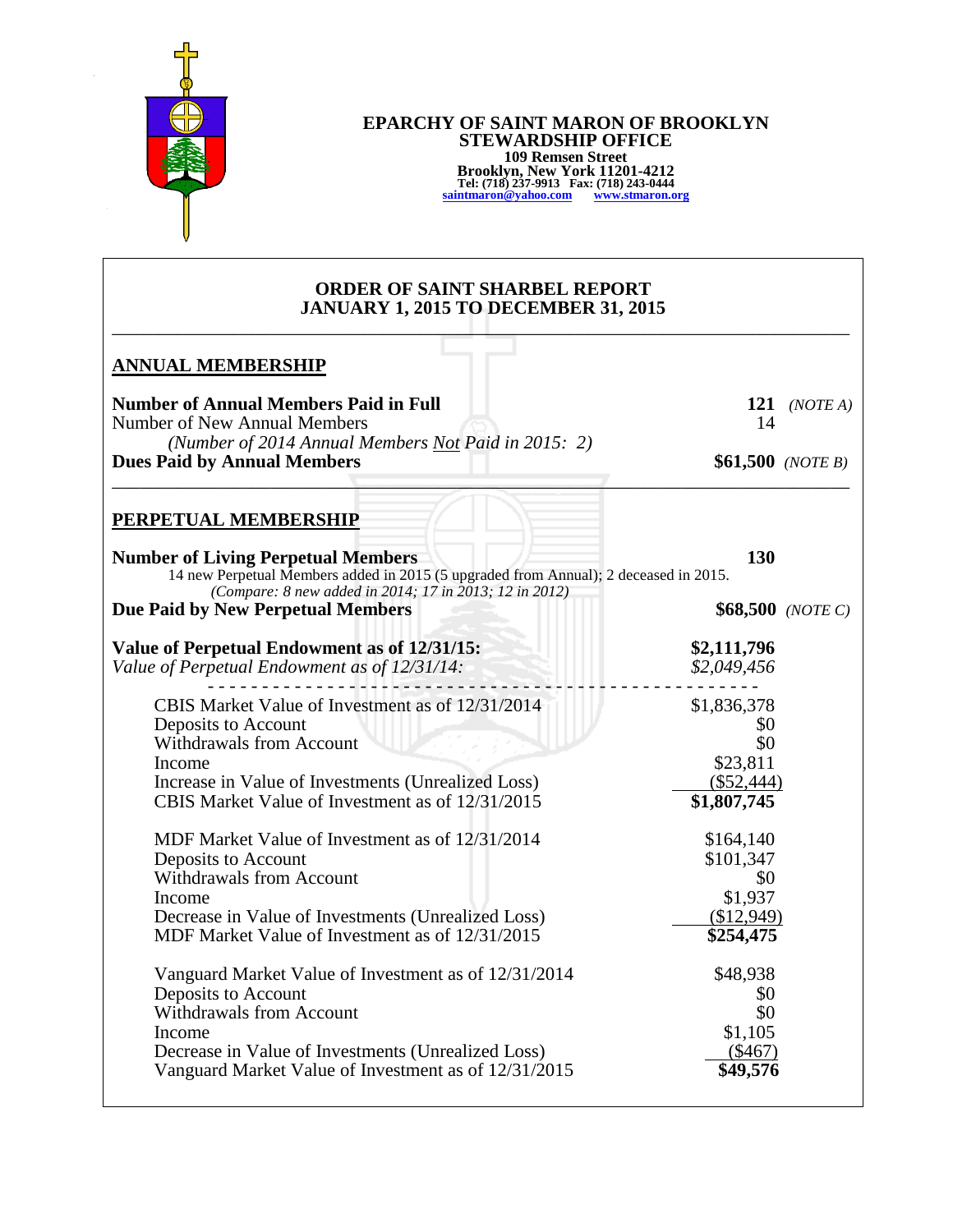

## **EPARCHY OF SAINT MARON OF BROOKLYN STEWARDSHIP OFFICE 109 Remsen Street Brooklyn, New York 11201-4212 Tel: (718) 237-9913 Fax: (718) 243-0444 [saintmaron@yahoo.com](mailto:saintmaron@yahoo.com) [www.stmaron.org](http://www.stmaron.org/)**

## **ORDER OF SAINT SHARBEL REPORT JANUARY 1, 2015 TO DECEMBER 31, 2015** \_\_\_\_\_\_\_\_\_\_\_\_\_\_\_\_\_\_\_\_\_\_\_\_\_\_\_\_\_\_\_\_\_\_\_\_\_\_\_\_\_\_\_\_\_\_\_\_\_\_\_\_\_\_\_\_\_\_\_\_\_\_\_\_\_\_\_\_\_\_\_\_\_\_\_\_\_\_\_

| <b>Number of Annual Members Paid in Full</b><br>Number of New Annual Members                                                                                                                                                                                                                                                                                                                                                                                   | 14                                                                                                                                          | 121 ( <i>NOTE A</i> ) |
|----------------------------------------------------------------------------------------------------------------------------------------------------------------------------------------------------------------------------------------------------------------------------------------------------------------------------------------------------------------------------------------------------------------------------------------------------------------|---------------------------------------------------------------------------------------------------------------------------------------------|-----------------------|
| (Number of 2014 Annual Members Not Paid in 2015: 2)<br><b>Dues Paid by Annual Members</b>                                                                                                                                                                                                                                                                                                                                                                      |                                                                                                                                             | $$61,500$ (NOTE B)    |
| <b>PERPETUAL MEMBERSHIP</b>                                                                                                                                                                                                                                                                                                                                                                                                                                    |                                                                                                                                             |                       |
| <b>Number of Living Perpetual Members</b><br>14 new Perpetual Members added in 2015 (5 upgraded from Annual); 2 deceased in 2015.<br>(Compare: 8 new added in 2014; 17 in 2013; 12 in 2012)                                                                                                                                                                                                                                                                    | 130                                                                                                                                         |                       |
| Due Paid by New Perpetual Members                                                                                                                                                                                                                                                                                                                                                                                                                              |                                                                                                                                             | $$68,500$ (NOTE C)    |
| Value of Perpetual Endowment as of 12/31/15:<br>Value of Perpetual Endowment as of 12/31/14:                                                                                                                                                                                                                                                                                                                                                                   | \$2,111,796<br>\$2,049,456                                                                                                                  |                       |
| CBIS Market Value of Investment as of 12/31/2014<br>Deposits to Account<br><b>Withdrawals from Account</b><br>Income<br>Increase in Value of Investments (Unrealized Loss)<br>CBIS Market Value of Investment as of 12/31/2015<br>MDF Market Value of Investment as of 12/31/2014<br>Deposits to Account<br><b>Withdrawals from Account</b><br>Income<br>Decrease in Value of Investments (Unrealized Loss)<br>MDF Market Value of Investment as of 12/31/2015 | \$1,836,378<br>\$0<br>\$0<br>\$23,811<br>$(\$52,444)$<br>\$1,807,745<br>\$164,140<br>\$101,347<br>\$0<br>\$1,937<br>(\$12,949)<br>\$254,475 |                       |
| Vanguard Market Value of Investment as of 12/31/2014<br>Deposits to Account<br><b>Withdrawals from Account</b><br>Income<br>Decrease in Value of Investments (Unrealized Loss)<br>Vanguard Market Value of Investment as of 12/31/2015                                                                                                                                                                                                                         | \$48,938<br>\$0<br>\$0<br>\$1,105<br>$(\$467)$<br>\$49,576                                                                                  |                       |